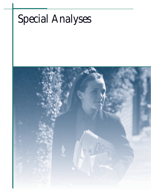# *Special Analyses*

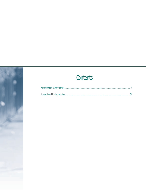## Contents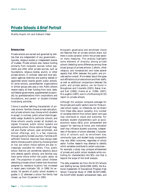*Martha Naomi Alt and Katharin Peter*

#### **INTRODUCTION**

Private schools are owned and governed by entities that are independent of any government typically, religious bodies or independent boards of trustees. Private schools also receive funding primarily from nonpublic sources: tuition payments and often other private sources, such as foundations, religious bodies, alumni, or other private donors. In contrast, state and local education agencies (districts) and publicly elected or appointed school boards govern public schools. At some schools, parent/teacher organizations or similar groups also play a role. Public schools receive nearly all their funding from local, state, and federal governments, supplemented occasionally by grants/donations from corporations and foundations, and parent- or student-initiated fundraising activities.

Choice is another defining characteristic of private schools: families choose private education, and private schools may choose which students to accept. In contrast, public school districts generally assign students to particular schools, and those schools usually accept all students assigned. However, public school systems are expanding school choice options through magnet and charter schools, open enrollment, and similar offerings, and, in a few instances, through publicly funded vouchers. Families with sufficient financial resources have always been able to choose a public school by choosing where to live, but school choice options are also increasingly available for others. Thus, public school districts are sometimes selective about who attends specific schools, and families may have some choice within the public sector as well. The proportion of public school children attending a chosen school (rather than the school assigned by residence location) has increased in recent years (*indicator 29*). In 1999, for example, 16 percent of public school students in grades 1–12 attended a school the family had chosen, up from 12 percent in 1993.

Nonpublic governance and enrollment choice are features that all private schools share, but there is wide variation within the private sector on many measures. This analysis highlights some elements of diversity among private schools (detailing some differences among three broad groups of private schools: Catholic, other religious, and nonsectarian) and notes several aspects that differ between the public and private sectors overall. More detail about the types and affiliations of private schools and their staffs, as well as additional comparisons between the public and private sectors, can be found in Broughman and Colaciello (2001); Baker, Han, and Keil (1996); Henke et al. (1996, 1997); McLaughlin (1997); and in a forthcoming NCES report on private schools.

Although this analysis compares *averages* for the private and public sectors (and for three private school types), no inferences can be drawn from these data about causality. Any number of variables distinct from school sector and type may contribute to inputs and outcomes. For example, student characteristics such as socioeconomic status (SES), prior achievement and support for learning at home, and motivation level may influence student outcomes, independent of the sector of school attended. Characteristics of schools such as enrollment size, community type, and student body composition may also affect outcomes, regardless of school sector. Further research may attempt to identify which variables contribute to certain outcomes for example, a study may compare achievement of private and public school students while controlling for characteristics like SES—but that is beyond the scope of this brief analysis.

The data presented are from the NCES Schools and Staffing Survey (SASS:1999–2000), the National Assessment of Educational Progress High School Transcript Study of 1998 (NAEP:1998), the NAEP:2000 student achievement tests, and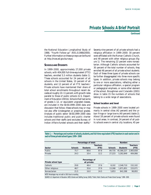**Continued**

the National Education Longitudinal Study of 1988, "Fourth Follow-up" (NELS:1988/2000). Further information on these surveys can be found at *http://nces.ed.gov/surveys/.*

#### **SCHOOLSAND STUDENTS**

In 1999–2000, approximately 27,000 private schools, with 404,000 full-time-equivalent (FTE) teachers, enrolled 5.3 million students (table 1). These schools accounted for 24 percent of all schools in the United States, 10 percent of all students, and 12 percent of all FTE teachers.<sup>1</sup> Private schools have maintained their share of total school enrollments throughout recent decades at roughly 10–11 percent, with growth rates parallel to those of public schools (U.S. Department of Education 2001b). Schools that had some of grades 1–12, or equivalent ungraded classes, are included in the SASS:1999–2000 data and discussion that follow; these schools may or may not also offer kindergarten or preschool grades. Analysis of public sector SASS:1999–2000 data includes traditional public and public charter schools and their staffs (and excludes Bureau of Indian Affairs-funded schools and their staffs).2

Seventy-nine percent of all private schools had a religious affiliation in 1999–2000: 30 percent were affiliated with the Roman Catholic Church, and 49 percent with other religious groups (figure 1). The remaining 22 percent were nonsectarian. Although Catholic schools accounted for 30 percent of the total number of schools, they enrolled 48 percent of all private school students. Each of these three types of private schools can be further disaggregated into three more specific types. In addition, private schools may belong to one or more associations, reflecting either a particular religious affiliation, a special program or pedagogical emphasis, or some other element of the school. Broughman and Colaciello (2001) show in table 15 the numbers of schools that belong to a wide range of associations.

#### **School location and level**

Private schools in 1999–2000 were located primarily in central cities (42 percent) and the urban fringe or large towns (40 percent) (table 2). About 18 percent of private schools were found in rural areas. In contrast, 24 percent of all public schools were in central city locations, 45 per-

**Teachers Teachers Sector Schools Students (FTE) Schools Students (FTE)** Public 75.7 89.6 87.8 84,735 45,366,227 2,905,658 Private 24.3 10.4 12.2 27,223 5,262,849 404,066 Catholic 29.8 48.4 37.6 8,102 2,548,710 152,102 Other religious 48.7 35.6 37.9 13,268 1,871,851 153,071 Nonsectarian 21.5 16.0 24.5 5,853 842,288 98,893 NOTE: Percentages may not add to 100.0 due to rounding. **Percentage of total: Number: Percentage of Private school type all private:**

**Table 1.—Percentage and number of schools, students, and full-time-equivalent (FTE) teachers in each sector and in each of three private school types: 1999–2000**

SOURCE: U.S. Department of Education, NCES. Schools and Staffing Survey (SASS), "Public, Public Charter, and Private School Surveys," 1999–2000.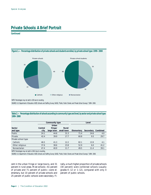**Continued**



NOTE: Percentages may not add to 100 due to rounding.

SOURCE: U.S. Department of Education, NCES. Schools and Staffing Survey (SASS), "Public, Public Charter, and Private School Surveys," 1999–2000.

**Table 2.—Percentage distribution of schools according to community type and level, by sector and private school type: 1999–2000**

|         | Community type |            | Level      |           |          |
|---------|----------------|------------|------------|-----------|----------|
|         | Urban          |            |            |           |          |
| Central | fringe/        | Rural/     |            |           |          |
| city    | large town     | small town | Elementary | Secondary | Combined |
| 24.1    | 44.6           | 31.3       | 71.4       | 24.6      | 4.0      |
| 42.4    | 39.9           | 17.7       | 60.8       | 9.5       | 29.7     |
|         |                |            |            |           |          |
| 46.5    | 41.3           | 12.2       | 82.1       | 13.9      | 4.1      |
| 37.6    | 38.6           | 23.8       | 52.9       | 6.0       | 41.2     |
| 47.4    | 40.9           | 11.7       | 49.5       | 11.4      | 39.1     |
|         |                |            |            |           |          |

NOTE: Percentages may not add to 100.0 due to rounding.

SOURCE: U.S. Department of Education, NCES. Schools and Staffing Survey (SASS), "Public, Public Charter, and Private School Surveys," 1999–2000.

cent in the urban fringe or large towns, and 31 percent in rural areas. Most schools—61 percent of private and 71 percent of public—were elementary, but 10 percent of private schools and 25 percent of public schools were secondary. Finally, a much higher proportion of private schools (30 percent) were combined schools (usually grades K–12 or 1–12), compared with only 4 percent of public schools.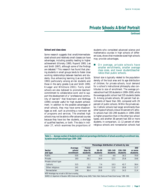**Continued**

#### **School and class sizes**

Some research suggests that small/intermediatesized schools and relatively small classes can have advantages, including possibly leading to higher achievement (Klonsky 1995; Raywid 1995; Lee and Smith 1997), although some of the findings are debated.3 This research has found that placing students in small groups tends to foster close working relationships between teachers and students, thus enhancing learning (Lee and Smith 1993) particularly among at-risk students and those in the early grades (Lee and Smith 1995; Krueger and Whitmore 2001). Fairly small schools are also believed to promote teachers' commitment to collaborative work and to support the development of a "professional community of learners" that Newmann and Wehlage (1995) consider useful for high student achievement. In addition to the possible advantages of small schools, they may have some disadvantages as well, such as providing a narrower set of programs and services. The smallest high schools may not be able to offer advanced courses because they have too few students, a shortage of qualified teachers, or both. The data in *indicator 27*, which examines the proportions of students who completed advanced science and mathematics courses in high schools of different sizes, shows that moderate-sized high schools may provide advantages.

#### ! *On average, private schools have smaller enrollments, smaller average class sizes, and lower student/teacher ratios than public schools.*

School size is typically related to the population density of the local area and its age distribution of children; for private schools, local demand for a school's instructional philosophy also contributes to size of enrollment. The average private school had 193 students in 1999–2000, while the average public school had 535 students (table 3). Among private schools, 80 percent had enrollments of fewer than 300, compared with 29 percent of public schools. Within the private sector, Catholic schools had larger enrollments than other types of schools. About 43 percent of Catholic schools had 150–299 students in 1999–2000 (a higher proportion than in the other two school types), and another 38 percent had 300 or more students. In comparison, 11–12 percent of other religious schools and nonsectarian schools had

**Table 3.—Average number of students enrolled and percentage distribution of schools according to enrollment size, by sector and private school type: 1999–2000**

|                     |            | Percentage distribution of schools by size |           |          |          |          |  |
|---------------------|------------|--------------------------------------------|-----------|----------|----------|----------|--|
|                     | Average    | Fewer                                      |           |          |          | 300      |  |
| Sector              | school     | than 50                                    | $50 - 99$ | 100-149  | 150-299  | or more  |  |
| and type            | enrollment | students                                   | students  | students | students | students |  |
| Public              | 535        | 4.0                                        | 4.3       | 4.6      | 16.2     | 70.9     |  |
| Private             | 193        | 26.1                                       | 16.4      | 12.1     | 25.8     | 19.6     |  |
| Private school type |            |                                            |           |          |          |          |  |
| Catholic            | 315        | 1.1                                        | 7.4       | 10.3     | 42.7     | 38.4     |  |
| Other religious     | 141        | 36.8                                       | 19.9      | 11.0     | 20.6     | 11.7     |  |
| Nonsectarian        | 144        | 36.4                                       | 20.8      | 17.1     | 14.3     | 11.4     |  |

NOTE: Percentages may not add to 100.0 due to rounding.

SOURCE: U.S. Department of Education, NCES. Schools and Staffing Survey (SASS), "Public, Public Charter, and Private School Surveys," 1999–2000.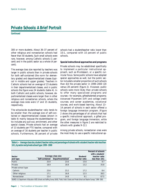**Continued**

300 or more students. About 36–37 percent of other religious and nonsectarian schools had fewer than 50 students. Such small schools were rare, however, among Catholic schools (1 percent) and in the public sector as a whole (4 percent).

The average class size reported by teachers was larger in public schools than in private schools for both self-contained (the norm for elementary grades) and departmentalized classes (typical in middle and upper grades). Teachers in Catholic schools had an average of 23 students in their departmentalized classes, and in public schools the figure was 24 students (table 4). In both Catholic and public schools, however, departmentalized classes were larger than in other religious and nonsectarian schools, where the average class sizes were 17 and 15 students, respectively.

The schoolwide student/teacher ratio tends to be smaller than the average size of self-contained or departmentalized classes (shown in table 4) mainly because the student/teacher ratio includes any pull-out, enrichment, and other special classes. Private schools had an average of 13 students per FTE teacher, compared with an average of 16 students per teacher in public schools. Furthermore, 36 percent of private

schools had a student/teacher ratio lower than 10:1, compared with 10 percent of public schools.

**Special instructional approaches and programs**

Private schools may be established specifically to implement a particular instructional approach, such as Montessori, or a specific curricular focus. Some public schools have adopted special approaches as well, but the public sector included a smaller proportion of such schools than did the private sector in 1999–2000 (20 versus 28 percent) (figure 2). However, public schools were more likely than private schools to offer many specialized programs and courses—for example, gifted/talented programs; Advanced Placement (AP) and college credit courses; and career academies, vocational courses, and work-based learning. About 13– 14 percent of schools in each sector offered a foreign language immersion program. (Figure 2 shows the percentages of all schools that had a specific instructional approach, a gifted program, and foreign language immersion, while the other measures in figure 2 are restricted to schools with grades 9–12.)

Among private schools, nonsectarian ones were the most likely to use a specific instructional ap-

**Table 4.—Average class size, student/teacher ratios, and percentage of schools with a student/teacher ratio less than 10:1, by sector and private school type: 1999–2000**

| Sector              |                | Average class size | Student/      | Percent of schools<br>with a student/<br>teacher ratio |
|---------------------|----------------|--------------------|---------------|--------------------------------------------------------|
| and type            | Self-contained | Departmentalized   | teacher ratio | less than 10:1                                         |
| Public              | 20.9           | 23.6               | 15.6          | 9.7                                                    |
| Private             | 18.9           | 18.8               | 13.2          | 35.8                                                   |
| Private school type |                |                    |               |                                                        |
| Catholic            | 23.6           | 23.2               | 17.2          | 8.4                                                    |
| Other religious     | 17.1           | 16.8               | 12.5          | 38.5                                                   |
| Nonsectarian        | 15.4           | 14.8               | 9.1           | 67.5                                                   |

SOURCE: U.S. Department of Education, NCES. Schools and Staffing Survey (SASS), "Public, Public Charter, and Private School and Teacher Surveys," 1999-2000.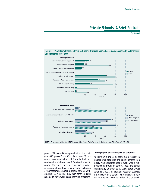**Continued**



**Figure 2.—Percentage of schools offering particular instructional approaches or special programs, by sector and private school type: 1999–2000**

SOURCE: U.S. Department of Education, NCES. Schools and Staffing Survey (SASS), "Public, Public Charter, and Private School Surveys," 1999–2000.

proach (62 percent), compared with other religious (27 percent) and Catholic schools (7 percent). Large proportions of Catholic high (or combined) schools provided AP and college credit courses (82 and 71 percent, respectively), higher percentages than those in either other religious or nonsectarian schools. Catholic schools with grades 9–12 were less likely than other religious schools to have work-based learning programs.

#### **Demographic characteristics of students**

Racial/ethnic and socioeconomic diversity in schools offer academic and social benefits in a society where students need to work well in heterogeneous groups in school, jobs, and social settings (e.g., Coleman et al. 1966; Eaton 2001; Schofield 2001). In addition, research suggests that diversity in a school's enrollment can help low-income and minority students increase their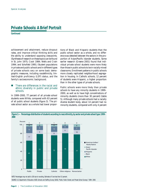**Continued**

achievement and attainment, reduce dropout rates, and improve critical thinking skills and the ability to understand opposing viewpoints. (Syntheses of research on these topics can be found in St. John 1975; Cook 1984; Wells and Crain 1994; and Schofield 1995.) Student populations in private and public schools and in different types of private schools vary on some basic demographic measures, including race/ethnicity, limited-English proficiency (LEP) status, and the family's socioeconomic background.

#### ! *There are differences in the racial and ethnic diversity in public and private schools.*

In 1999–2000, 77 percent of all private school students were White, compared with 63 percent of all public school students (figure 3). The private school sector as a whole had lower proportions of Black and Hispanic students than the public school sector as a whole, and no difference was detected between the sectors in the proportion of Asian/Pacific Islander students. Some earlier research (Greene 2001) found that individual private school students were more likely than those in public schools to be in racially mixed classrooms. Enrollment patterns in public schools more closely replicated neighborhood segregation in housing. In Catholic schools, 12 percent of students were Hispanic, a higher proportion than in the other types of private schools.

Public schools were more likely than private schools to have any minority students in 1999– 2000, as well as to have high concentrations of minority students (more than 30 percent) (table 5). Although many private schools had a racially diverse student body, about 14 percent had no minority students, compared with only 4 percent



NOTE: Percentages may not add to 100 due to rounding. Estimates of 0 are less than 0.5 percent. SOURCE: U.S. Department of Education, NCES. Schools and Staffing Survey (SASS), "Public, Public Charter, and Private School Surveys," 1999–2000.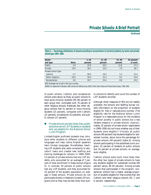**Continued**

**Table 5.—Percentage distribution of schools according to concentration of minority students, by sector and private school type: 1999–2000**

| Sector              |             | $1 - 10$ | $11 - 30$ | $31 - 50$ | 51 percent |
|---------------------|-------------|----------|-----------|-----------|------------|
| and type            | <b>None</b> | percent  | percent   | percent   | or more    |
| Public              | 3.9         | 35.8     | 20.2      | 12.8      | 27.3       |
| Private             | 13.9        | 36.1     | 23.3      | 7.9       | 18.7       |
| Private school type |             |          |           |           |            |
| Catholic            | 4.7         | 49.5     | 19.2      | 5.3       | 21.4       |
| Other religious     | 24.0        | 30.4     | 21.4      | 9.1       | 15.0       |
| Nonsectarian        | 3.8         | 30.7     | 33.4      | 8.9       | 23.2       |
|                     |             |          |           |           |            |

NOTE: Percentages may not add to 100.0 due to rounding.

SOURCE: U.S. Department of Education, NCES. Schools and Staffing Survey (SASS), "Public, Public Charter, and Private School Surveys," 1999–2000.

of public schools. Catholic and nonsectarian schools were about as likely as public schools to have some minority students (95–96 percent of each group did), contrasted with 76 percent of other religious schools. Relatively few other religious schools had 51 percent or more minority students (15 percent), compared with Catholic (21 percent), nonsectarian (23 percent), and public schools (27 percent).

#### ! *Private schools are less likely than public schools to enroll LEP students or students who are eligible for the National School Lunch Program.*

Limited-English proficient students may introduce other students to different cultures and languages and help native English speakers learn foreign languages. Nonetheless, teaching LEP students also adds complexity to educators' tasks and creates new staffing and training challenges for schools. In 1999–2000, 13 percent of private schools had any LEP students, who accounted for an average of 7 percent of total enrollment in these schools (figure 4). In contrast, 54 percent of public schools had any LEP students, and they accounted for 10 percent of the student population on average in these schools. Private schools do not participate directly in federally funded LEP programs and so they may be less likely than pub-

lic schools to identify and count the number of LEP students enrolled.

Although direct measures of SES are not readily available, the Schools and Staffing Survey collects information on the proportion of students eligible for free or reduced-price lunches. (The eligibility rate for the National School Lunch Program is a reasonable proxy for the incidence of school poverty in public schools but a less reliable measure in private schools. Approximately 25 percent of private school respondents in 1999–2000 did not know whether any of their students were eligible.<sup>4</sup>) Virtually all public schools (99 percent) had students eligible for subsidized lunches, about twice the percentage for private schools (49 percent) (table 6). Among schools participating in the subsidized lunch program, 42 percent of students at public schools and 10 percent at private schools, on average, were eligible.

Catholic schools were much more likely than the other two types of private schools to have any students eligible for subsidized lunches (69 percent versus 38–40 percent). Among private schools that participated in the program, nonsectarian schools had a higher average proportion of students eligible for free lunches than did Catholic and other religious schools (30, 7, and 6 percent, respectively).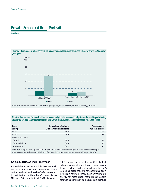**Continued**



**Figure 4.—Percentage of schools serving LEP students and, in those, percentage of students who were LEP, by sector:**

SOURCE: U.S. Department of Education, NCES. Schools and Staffing Survey (SASS), "Public, Public Charter, and Private School Surveys," 1999–2000.

**Table 6.—Percentage of schools that had any students eligible for free or reduced-price lunches and, in participating schools, the average percentage of students who were eligible, by sector and private school type: 1999–2000**

| Sector              | Percentage of schools      | Percentage of     |
|---------------------|----------------------------|-------------------|
| and type            | with any eligible students | students eligible |
| Public              | 98.8                       | 42.5              |
| Private*            | 49.5                       | 10.4              |
| Private school type |                            |                   |
| Catholic            | 68.9                       | 6.9               |
| Other religious     | 38.3                       | 6.3               |
| Nonsectarian        | 39.7                       | 29.5              |
|                     |                            |                   |

\*About 25 percent of private school respondents did not know whether any students enrolled would be eligible for the National School Lunch Program. SOURCE: U.S. Department of Education, NCES. Schools and Staffing Survey (SASS), "Public, Public Charter, and Private School Surveys," 1999–2000.

#### **SCHOOL CLIMATE AND STAFF PERCEPTIONS**

Research has examined the links between teachers' perceptions of a school's professional climate, on the one hand, and teachers' effectiveness and job satisfaction on the other (for example, see Mitchell, Ortiz, and Mitchell 1987; Rosenholtz 1991). In one extensive study of Catholic high schools, a range of attributes were found to contribute to school effectiveness, including the staff's communal organization to advance shared goals; principals having primary decisionmaking authority for most school management matters; teachers' commitment to the academic, spiritual,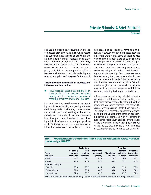**Continued**

and social development of students (which encompassed providing extra help when needed and supporting extracurricular activities); and an atmosphere of mutual respect among everyone in the school (Bryk, Lee, and Holland 1993). Elements of staff opinion and school climate discussed here include teachers' sense of shared purpose, collegiality, and cooperative efforts; teachers' evaluations of principals' leadership and support; and principals' top goals for the school.

**Teachers' control over teaching practices and influence on school policies**

! *Private school teachers are more likely than public school teachers to report having a lot of influence on several teaching practices and school policies.*

For most teaching practices—selecting teaching techniques, evaluating and grading students, disciplining students, choosing course content and skills to teach, and selecting textbooks and materials—private school teachers were more likely than public school teachers to report having a lot of influence on school policymaking (table 7). (Public schools are often required to follow the decisions of state and/or district officials regarding curricular content and textbooks.) However, though differences between the sectors were found, some of these policies were common in both types of schools: more than 85 percent of teachers in public and private schools thought that they had a lot of control over selecting teaching techniques, evaluating and grading students, and determining homework quantity. Few differences were detected among the three private school types on most measures in table 7, but nonsectarian school teachers were more likely than Catholic or other religious school teachers to report having a lot of control over the content and skills to teach and selecting textbooks and materials.

In four areas of school policy linked closely with teaching—establishing curriculum, setting student performance standards, setting discipline policy, and evaluating teachers—the sector differences were substantial (table 8 and figure 5). For example, 68 percent of private school teachers said they had a lot of influence on establishing curriculum, compared with 44 percent of public school teachers. In addition, private school teachers were more likely than public school teachers to say that they had a lot of influence on setting student performance standards (63

**Table 7.—Percentage of teachers who thought they had a lot of control over various teaching practices, by sector and private school type: 1999–2000**

|                     |           | Evaluating |             |              | Choosing   |            |  |
|---------------------|-----------|------------|-------------|--------------|------------|------------|--|
|                     | Selecting | and        | Determining |              | content    | Selecting  |  |
| Sector              | teaching  | grading    | homework    | Disciplining | and skills | textbooks. |  |
| and type            | techiques | students   | quantity    | students     | to teach   | materials  |  |
| Public              | 87.4      | 89.1       | 87.9        | 73.3         | 56.7       | 54.1       |  |
| Private             | 92.5      | 92.4       | 87.3        | 85.5         | 75.0       | 70.6       |  |
| Private school type |           |            |             |              |            |            |  |
| Catholic            | 93.8      | 93.7       | 89.7        | 86.8         | 73.1       | 69.4       |  |
| Other religious     | 91.5      | 91.5       | 84.8        | 85.8         | 70.4       | 64.5       |  |
| Nonsectarian        | 92.3      | 91.7       | 87.5        | 83.0         | 85.0       | 81.8       |  |
|                     |           |            |             |              |            |            |  |

SOURCE: U.S. Department of Education, NCES. Schools and Staffing Survey (SASS), "Public, Public Charter, and Private School Teacher Surveys," 1999–2000.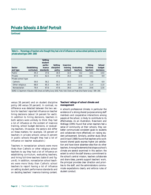**Continued**

**Table 8.—Percentage of teachers who thought they had a lot of influence on various school policies, by sector and private school type: 1999–2000**

| Sector<br>and type  | Establishing<br>curriculum | Setting<br>student<br>perfor-<br>mance<br>standards | Setting<br>discipline<br>policy | <b>Inservice</b><br>training<br>content | Evaluating<br>teachers | Hiring<br>full-time<br>teachers | School<br>budget<br>decisions |
|---------------------|----------------------------|-----------------------------------------------------|---------------------------------|-----------------------------------------|------------------------|---------------------------------|-------------------------------|
| Public              | 44.3                       | 37.6                                                | 30.4                            | 32.5                                    | 8.2                    | 14.5                            | 14.0                          |
| Private             | 67.5                       | 62.5                                                | 47.9                            | 35.5                                    | 18.6                   | 14.1                            | 9.9                           |
| Private school type |                            |                                                     |                                 |                                         |                        |                                 |                               |
| Catholic            | 59.0                       | 56.2                                                | 45.1                            | 33.5                                    | 13.7                   | 9.8                             | 6.9                           |
| Other religious     | 68.0                       | 65.3                                                | 50.7                            | 35.0                                    | 17.0                   | 11.4                            | 11.0                          |
| <b>Nonsectarian</b> | 79.4                       | 67.6                                                | 47.6                            | 39.3                                    | 28.4                   | 24.6                            | 12.6                          |

SOURCE: U.S. Department of Education, NCES. Schools and Staffing Survey (SASS), "Public, Public Charter, and Private School Teacher Surveys," 1999-2000.

versus 38 percent) and on student discipline policy (48 versus 30 percent). In contrast, no difference was detected between the two sectors for teachers' reported influence on teacher hiring decisions (about 14 percent for each). In addition to hiring decisions, teachers in both sectors were unlikely to think they had a lot of influence on the content of inservice training, school budget decisions, or evaluating teachers. (However, the sectors did differ on these matters; for example, 19 percent of teachers in private schools versus 8 percent in public schools thought they had a lot of influence on teacher evaluation.)

Teachers in nonsectarian schools were more likely than Catholic or other religious school teachers to say they had a lot of influence on establishing curriculum, evaluating teachers, and hiring full-time teachers (table 8 and figure 6). In addition, nonsectarian school teachers were more likely than Catholic school teachers to report having a lot of influence on setting student performance standards and on deciding teachers' inservice training content.

#### **Teachers' ratings of school climate and management**

A school's professional climate, in particular the existence of a strong shared purpose among staff members and cooperative interactions among people at the school, is likely to contribute to its effectiveness. As an illustration, Newmann and Wehlage (1995) found that when teachers feel a sense of community at their schools, they can better communicate consistent goals to students and collaborate more effectively on raising student achievement. Similarly, another study (Bryk and Driscoll 1988) found that teachers who work toward shared goals express higher job satisfaction and have lower absentee rates than do other teachers. Among the elements that shape a school's climate are several examined in this section: the extent to which the staff shares a commitment to the school's central mission, teachers collaborate and share ideas, parents support teachers' work, the principal provides clear direction and priorities to the staff, and the administrators communicate expectations clearly and enforce rules of student conduct.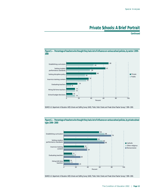**Continued**



SOURCE: U.S. Department of Education, NCES. Schools and Staffing Survey (SASS), "Public, Public Charter, and Private School Teacher Surveys," 1999–2000.



**Figure 6.—Percentage of teachers who thought they had a lot of influence on various school policies, by private school type: 1999–2000**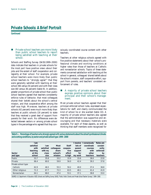**Continued**

! *Private school teachers are more likely than public school teachers to report being satisfied with teaching at their school.*

Schools and Staffing Survey (SASS:1999–2000) data indicate that teachers in private schools for the most part have positive views about their jobs and the extent of staff cooperation and collegiality at their school. For example, private school teachers were more likely than public school teachers to "strongly agree"5 that they were generally satisfied with teaching at their school (66 versus 54 percent) and with their class size (60 versus 36 percent) (table 9). In addition, greater proportions of private school than public school teachers agreed that teachers consistently enforce rules of behavior, that most colleagues shared their beliefs about the school's central mission, and that cooperative effort among the staff was high. Moreover, teachers at private schools (42 percent) were much more likely than teachers at public schools (16 percent) to state that they received a great deal of support from parents for their work. No differences were detected between sectors or among private school types in the percentage who agreed that they consciously coordinated course content with other teachers.

Teachers at other religious schools agreed with five positive statements about their school's professional climate and working conditions at higher rates than those of teachers at Catholic and nonsectarian schools. Topics of these statements concerned satisfaction with teaching at the school in general, colleagues' shared beliefs about the school's mission, staff cooperative effort, support from parents, and teachers' consistent enforcement of rules.

#### ! *A majority of private school teachers express positive opinions about their principal and their school's management.*

Most private school teachers agreed that their principal enforced school rules, expressed expectations for staff, and clearly communicated the kind of school he or she wanted (table 10). A majority of private school teachers also agreed that the administration was supportive and encouraging and that necessary materials were available. For each of these aspects, as well as thinking that staff members were recognized for

**Table 9.—Percentage of teachers who strongly agreed with various statements about the school's professional climate and working conditions, by sector and private school type: 1999–2000**

| I am      |           |            |          | I receive | I consciously | <b>Rules</b> are |
|-----------|-----------|------------|----------|-----------|---------------|------------------|
| satisfied | l am      | Most       | Staff    | lots of   | coordinate    | consist-         |
| with      | satisfied | colleagues | coopera- | parent    | courses       | ently            |
| teaching  | with my   | share      | tive     | support   | with          | enforced         |
| at this   | class     | school's   | effort   | for       | other         | by               |
| school    | size      | mission    | is high  | my work   | teachers      | teachers         |
| 53.7      | 35.8      | 33.2       | 33.9     | 15.6      | 38.0          | 22.8             |
| 66.4      | 60.0      | 59.9       | 56.0     | 42.4      | 39.3          | 37.8             |
|           |           |            |          |           |               |                  |
| 62.9      | 46.5      | 55.3       | 50.2     | 40.0      | 37.4          | 36.8             |
| 71.3      | 67.7      | 72.3       | 63.5     | 48.1      | 41.4          | 41.9             |
| 64.1      | 68.0      | 47.4       | 53.1     | 37.1      | 38.8          | 33.0             |
|           |           |            |          |           |               |                  |

SOURCE: U.S. Department of Education, NCES. Schools and Staffing Survey (SASS), "Public, Public Charter, and Private School Teacher Surveys," 1999–2000.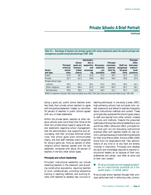**Continued**

|                     |           |           | Administra- |           |           |            | Principal |
|---------------------|-----------|-----------|-------------|-----------|-----------|------------|-----------|
|                     |           | School    | tion is     |           | Principal |            | often     |
|                     | Principal | goals are | supportive  | Necessary | expresses | Staff are  | discusses |
|                     | enforces  | commun-   | and         | materials | expecta-  | recognized | instruct- |
| Sector              | school    | icated    | encourag-   | are       | tions for | for good   | ional     |
| and type            | rules     | clearly   | ing         | available | staff     | work       | practices |
| Public              | 47.4      | 48.1      | 41.8        | 37.2      | 49.7      | 25.7       | 11.0      |
| Private             | 62.7      | 61.3      | 59.8        | 60.2      | 56.5      | 39.8       | 15.4      |
| Private school type |           |           |             |           |           |            |           |
| Catholic            | 59.2      | 59.1      | 56.1        | 53.2      | 55.9      | 36.5       | 14.1      |
| Other religious     | 68.3      | 66.4      | 67.3        | 64.0      | 60.5      | 45.7       | 18.1      |
| Nonsectarian        | 59.4      | 56.5      | 53.6        | 64.5      | 51.1      | 35.7       | 12.9      |
|                     |           |           |             |           |           |            |           |

**Table 10.—Percentage of teachers who strongly agreed with various statements about the school's principal and management, by sector and private school type: 1999–2000**

SOURCE: U.S. Department of Education, NCES. Schools and Staffing Survey (SASS), "Public, Public Charter, and Private School Teacher Surveys," 1999–2000.

doing a good job, public school teachers were less likely than private school teachers to agree with the positive statement. Indeed, no more than 50 percent of teachers in public schools agreed with any of these statements.

Within the private sector, teachers at other religious schools were more likely than those at the other two private school types to agree with several statements regarding school management: that the administration was supportive and encouraging, that their principal enforced school rules, that school goals were communicated clearly, and that staff members were recognized for doing a good job. Forty-six percent of other religious school teachers agreed with the last statement, compared with about 36 percent of teachers in the two other school types.

#### **Principals and school leadership**

Principals' instructional leadership can include observing teachers in the classroom and providing constructive evaluations, requiring teachers to work collaboratively, providing substantive training in teaching methods, and working directly with teachers to develop new curricula or

teaching techniques. In one study (Larsen 1987), high-achieving schools had principals who visited classrooms and talked to teachers frequently about instructional methods and content. These principals also explained the school's goals clearly to staff and learned from other schools' notable curricula and methods. Despite the presumed usefulness of strong instructional leadership (Louis and Miles 1990; Leithwood 1992), principals for the most part are not discussing instructional practices often with teachers (table 10, last column), perhaps because of overwhelming demands for their time (Pierce 2000). Elmore (1999–2000) found from his observations that "few administrators of any kind or at any level are directly involved in instruction. Principals who develop the skills and knowledge required to become instructional leaders do so because of their own preferences and values—and often at some cost to their own careers."

#### ■ *Most principals are not engaging teachers on instructional practices on a frequent basis—in either sector.*

Most private school teachers thought their principal performed well in enforcing rules, commu-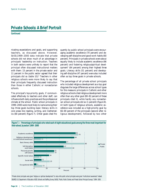**Continued**

nicating expectations and goals, and supporting teachers, as discussed above. However, SASS:1999–2000 data indicate that private schools did not show much of an advantage in principals' leadership on instruction. Teachers in both sectors were unlikely to report that the principal often discussed instructional matters with them: 15 percent in the private sector and 11 percent in the public sector agreed that their principals did so (table 10).6 Teachers in other religious schools were more likely to say that their principals frequently discussed instruction than those in either Catholic or nonsectarian schools.

The principal's top-priority goals, if communicated effectively to teachers and other staff, can influence both daily practices and the professional climate at the school. Public school principals in 1999–2000 were most likely to name among their top three goals building basic literacy skills in core areas like reading, writing, and mathematics (80 percent) (figure 7). Other goals cited frequently by public school principals were encouraging academic excellence (70 percent) and developing self-discipline and good work habits (60 percent). Principals in private schools were about equally likely to include academic excellence (66 percent) and fostering religious/spiritual development7 (64 percent) among their highest three goals. Literacy skills (51 percent) and developing self-discipline (47 percent) were also included often as top three goals in private schools.

The percentage of all private school principals who included religious development as a top goal disguises the large differences across school types for this measure: principals in Catholic and other religious schools cited religious development more often than any other goal (80–82 percent of these principals cited it), while hardly any nonsectarian school principals did so (1 percent) (figure 8). At both types of religious schools, academic excellence was included as a high-priority goal by 66–69 percent of the principals (second after religious development), followed by two other

**Figure 7.—Percentage of principals who rated each of eight educational goals among the three most important for their school, by sector: 1999–2000**



\*Private school principals were given "religious or spiritual development" to rate, while public school principals were given "multicultural awareness" instead. SOURCE: U.S. Department of Education, NCES. Schools and Staffing Survey (SASS), "Public, Public Charter, and Private School Principal Surveys," 1999–2000.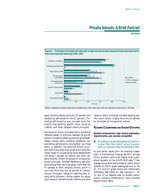**Continued**

*Special Analyses*



**Figure 8.—Percentage of principals who rated each of eight educational goals among the three most important for their school, by private school type: 1999–2000**



goals: building literacy skills (42–52 percent) and developing self-discipline (39–47 percent). Promoting self-discipline was included more frequently than teaching specific moral values by Catholic and other religious school principals.

Nonsectarian school principals had a somewhat different pattern of priorities: between 59 and 65 percent included developing personal growth/selfesteem, literacy skills, academic excellence, and promoting self-discipline among their top three goals. In addition, nonsectarian school principals were more likely than those at the other two school types to include social skills development (29 versus 7 percent at Catholic and other religious schools). About 59 percent of nonsectarian school principals included developing self-discipline among their top three goals, more than the 47 percent at other religious schools, which in turn was more than the 39 percent at Catholic schools. Principals' ratings for teaching basic literacy skills followed a similar pattern by school type. About 27 percent of both Catholic and other

religious school principals included teaching specific moral values, roughly twice the 14 percent for principals of nonsectarian schools.

#### **ACADEMIC COURSETAKINGAND STUDENT OUTCOMES**

**Student achievement, high school graduation requirements, and courses completed**

#### ! *Private school students generally perform higher than their public school counterparts on standardized achievement tests.*

As with earlier results from the National Assessment of Educational Progress (NAEP), private school students performed higher than public school students on the NAEP:2000 tests.8 Their average scores were above those of public school students on the  $4<sup>th</sup>$ -grade reading test and on the  $4<sup>th</sup>$ -,  $8<sup>th</sup>$ -, and  $12<sup>th</sup>$ -grade science and mathematics proficiency tests (table 11). See *indicators 7, 10, 11,* and *12* for detailed data on student performance, including differences by many variables beyond school sector.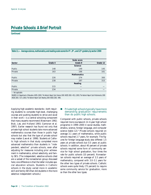**Continued**

| Table 11.—Average science, mathematics, and reading scale scores for 4 <sup>th</sup> -, 8 <sup>th</sup> -, and 12 <sup>th</sup> -graders, by sector: 2000 |         |                    |          |  |  |  |  |  |
|-----------------------------------------------------------------------------------------------------------------------------------------------------------|---------|--------------------|----------|--|--|--|--|--|
|                                                                                                                                                           |         |                    |          |  |  |  |  |  |
|                                                                                                                                                           |         | Scale score        |          |  |  |  |  |  |
| Sector                                                                                                                                                    | Grade 4 | Grade 8            | Grade 12 |  |  |  |  |  |
|                                                                                                                                                           |         | <b>Science</b>     |          |  |  |  |  |  |
| Public                                                                                                                                                    | 148     | 149                | 145      |  |  |  |  |  |
| Private                                                                                                                                                   | 163     | 166                | 161      |  |  |  |  |  |
|                                                                                                                                                           |         | <b>Mathematics</b> |          |  |  |  |  |  |
| Public                                                                                                                                                    | 226     | 274                | 300      |  |  |  |  |  |
| Private                                                                                                                                                   | 238     | 287                | 315      |  |  |  |  |  |
|                                                                                                                                                           |         | Reading            |          |  |  |  |  |  |
| Public                                                                                                                                                    | 215     |                    |          |  |  |  |  |  |
| Private                                                                                                                                                   | 234     |                    |          |  |  |  |  |  |
|                                                                                                                                                           |         |                    |          |  |  |  |  |  |

—Not applicable.

SOURCE: U.S. Department of Education, NCES. (2002). *The Nation's Report Card: Science 2000* (NCES 2002–451); (2001) *The Nation's Report Card: Mathematics 2000* (NCES 2001–517); (2001) *The Nation's Report Card: Reading 2000* (NCES 2001–499).

Applying high academic standards—both requiring students to complete high-level, challenging courses and pushing students to strive and excel in their work—is a central schooling component that many experts recommend (Newmann 1992; Bryk, Lee, and Holland 1993; Gamoran et al. 1997). Earlier research has found not only that private high school students take more advanced mathematics courses than those in public high schools but also that the type of private school may matter (Lee et al. 1998). Students at Catholic high schools in that study completed more advanced mathematics than students in "independent, selective" private schools, even after adjusting for measures including prior achievement in mathematics, school selectivity, and family SES. (The independent, selective schools cited are a subset of the nonsectarian group discussed here; one difference is that the latter includes special education schools. Students in Catholic schools in the study varied more in academic skill and family SES than did students in the more selective independent schools.)

#### ! *Private high schools typically have more demanding graduation requirements than do public high schools.*

Compared with public schools, private schools required more coursework (in 4-year high school programs) in 1999–2000 in social studies, mathematics, science, foreign language, and computer science (table 12).<sup>9</sup> Private schools required on average 3.1 years of mathematics, while public schools required 2.7 years, for example. The figures for foreign language study also differed: 1.5 years at private schools but 0.5 years at public schools. In addition, about 40 percent of private schools required some form of community service for high school graduation, four times the rate for public schools (10 percent). Nonsectarian schools required an average of 3.3 years of mathematics, compared with 3.0–3.1 years for the other two types of private schools. Catholic schools were quite likely (73 percent) to require some community service for graduation, more so than the other two types.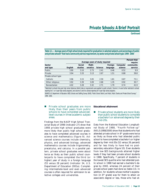**Continued**

**Table 12.—Average years of high school study required for graduation in selected subjects, and percentage of public and private schools\* that had a community service requirement, by sector and private school type: 1999–2000**

| Average years of study required |         |         |         |         |          | Percent that<br>require |
|---------------------------------|---------|---------|---------|---------|----------|-------------------------|
|                                 | Social  | Math-   |         | Foreign | Computer | community               |
|                                 |         |         |         |         |          | service                 |
| 3.90                            | 3.10    | 2.73    | 2.41    | 0.46    | 0.52     | 9.9                     |
| 3.94                            | 3.33    | 3.13    | 2.67    | 1.51    | 0.88     | 39.8                    |
|                                 |         |         |         |         |          |                         |
| 3.96                            | 3.15    | 3.05    | 2.59    | 1.81    | 0.87     | 73.1                    |
| 3.92                            | 3.39    | 3.09    | 2.68    | 1.35    | 0.92     | 30.7                    |
| 4.02                            | 3.28    | 3.32    | 2.71    | 1.79    | 0.74     | 41.9                    |
|                                 | English | studies | ematics | Science | language | science                 |

\*Restricted to schools that grant high school diplomas (district data on requirements were applied to public schools). Columns 1-4 were further restricted to schools reporting for 3- or 4-year high school programs, and columns 5 and 6 to schools reporting for 4-year high school programs.

SOURCE: U.S. Department of Education, NCES. Schools and Staffing Survey (SASS), "Public School District, and Public, Public Charter, and Private School Surveys," 1999–2000.

#### ! *Private school graduates are more likely than their peers from public schools to have completed advancedlevel courses in three academic subject areas.*

Findings from the NAEP High School Transcript Study of 1998 (*indicator 27*) show that 1998 private high school graduates were more likely than public high school graduates to have completed advanced courses in science and mathematics (figure 9). Advanced science courses include chemistry, physics, and advanced biology; advanced mathematics courses include trigonometry, precalculus, and calculus. In a parallel pattern, private school graduates were about twice as likely as their public school counterparts to have completed the third (or higher) year of study in a foreign language (55 versus 28 percent) (*indicator 34*, U.S. Department of Education 2001a). Completing intermediate-level and even advanced courses is often required for admission to selective colleges and universities.

#### **Educational attainment**

#### ! *Private school students are more likely than public school students to complete a bachelor's or advanced degree by their mid-20s.*

Data from the National Education Longitudinal Study of 1988, "Fourth Follow-up" (NELS:1988/2000) show that students who had attended private school in 8th grade were twice as likely as those who had attended public school to have completed a bachelor's or higher degree by their mid-20s (52 versus 26 percent) and far less likely to have had no postsecondary education (figure 10). Even students from low-SES backgrounds attained higher levels if they had been private school students in 1988. Specifically, 7 percent of students in the lowest SES quartile who had attended public school in 1988 had earned a bachelor's degree by 2000, whereas 24 percent of their private school peers had done so (table 13). In addition, for students whose mother's expectation (in  $8<sup>th</sup>$  grade) was for them to attain an associate's degree or less, those who had at-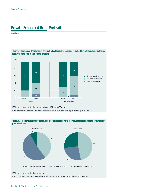**Continued**



**Figure 9.—Percentage distribution of 1998 high school graduates according to highest level of science and mathemat-**

NOTE: Percentages may not add to 100 due to rounding. Estimate of 0 is less than 0.5 percent. SOURCE: U.S. Department of Education, NCES. National Assessment of Educational Progress (NAEP) High School Transcript Study, 1998.

Figure 10.—Percentage distribution of 1988 8<sup>th</sup>-graders according to their educational attainment, by sector of 8<sup>th</sup>**grade school: 2000**



SOURCE: U.S. Department of Education, NCES. National Education Longitudinal Study of 1988, "Fourth Follow-up" (NELS:1988/2000).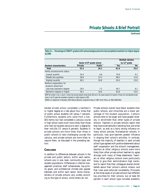**Continued**

Table 13.—Percentage of 1988 8<sup>th</sup>-graders with various backgrounds who had completed a bachelor's or higher degree **by 2000**

|                             |         |                                         | Studied calculus          |      |
|-----------------------------|---------|-----------------------------------------|---------------------------|------|
|                             |         | Sector of 8 <sup>th</sup> -grade school | by 12 <sup>th</sup> grade |      |
| Student characteristics     | Private | <b>Public</b>                           | Yes                       | No.  |
| Total                       | 52.2    | 26.1                                    | 81.9                      | 25.4 |
| Family socioeconomic status |         |                                         |                           |      |
| Lowest quartile             | 24.4    | 6.6                                     | 70.9                      | 6.1  |
| Middle two quartiles        | 38.6    | 22.3                                    | 68.5                      | 21.8 |
| Highest quartile            | 69.1    | 56.9                                    | 91.0                      | 53.9 |
| Mother's expectation for    |         |                                         |                           |      |
| student's attainment        |         |                                         |                           |      |
| Less than bachelor's degree | 29.5    | 7.2                                     | 56.7                      | 8.1  |
| Bachelor's degree or higher | 56.1    | 34.6                                    | 83.8                      | 33.0 |

NOTE: The number in row 2, column 1 shows that, among students whose family SES was in the lowest quartile, 24.4 percent of those who had attended private school in the 8<sup>th</sup> grade had completed a bachelor's or higher degree by 2000.

SOURCE: U.S. Department of Education, NCES. National Education Longitudinal Study of 1988, "Fourth Follow-up" (NELS:1988/2000).

tended private school completed a bachelor's or higher degree at a rate about four times that of public school students (30 versus 7 percent). Furthermore, students who came from a low-SES family but had completed a calculus course in high school were much more likely than those who had not studied calculus to earn a degree by their mid-20s (71 versus 6 percent). Students in private schools are more likely than those in public schools to take challenging courses like calculus, and private schools are more likely to require them, as discussed in the preceding section.

#### CONCLUSION

In addition to differences between schools in the private and public sectors, within each sector, schools vary in size, level, community type, and student populations. Differences in internal management practices, staff cohesiveness, top-priority goals, and professional climate also appear between and within each sector. Some characteristics of private schools vary widely according to the type of school, while others do not.

Private schools overall have fewer students than public schools, and minorities are a lower percentage of the student population. Catholic schools tend to be larger and have greater diversity in enrollment than other types of private schools. Teachers in private schools report that they have wide latitude in deciding how and what to teach, as well as a fairly strong influence on many school policies. Nonsectarian schools, in particular, may give teachers greater influence in shaping their school's activities. In contrast, though the majority of teachers in each private school type agreed with positive statements about staff cooperation and the school's management, teachers at other religious schools were more likely than other private school teachers to agree strongly with many of these statements. Teachers at other religious schools were particularly likely to give their administrators high marks, and to report that their colleagues shared similar beliefs about their school's central mission and that rules were enforced consistently. Principals at the three types of private schools had different top priorities for their schools, but at least 60 percent in each school type included academic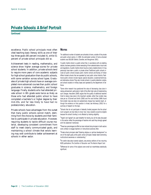**Continued**

excellence. Public school principals most often cited teaching basic literacy skills as one of their top three goals (80 percent included it), while 51 percent of private school principals did so.

Achievement tests in reading, mathematics, and science show higher average scores for private school students. In addition, private schools tend to require more years of core academic subjects for high school graduation than do public schools, with some variation across school types. Graduates of private high schools have on average completed more advanced courses than public school graduates in science, mathematics, and foreign language. Finally, students who had attended private school in 8th grade were twice as likely as those who had attended public school to have completed a bachelor's or higher degree by their mid-20s, and far less likely to have had no postsecondary education.

Private schools have advantages from the outset that many public schools cannot match, stemming from the choice by students and their families to participate in private education. However, requiring students to tackle difficult course material, developing consistent commitment from staff to meet clearly communicated goals, and maintaining a school climate that extols learning may well contribute to better achievement at schools in either sector.

#### **NOTES**

<sup>1</sup>An additional number of students are schooled at home, outside of the private and public school sectors. In 1999, the estimated number of home-schooled students was 850,000 (Bielick, Chandler, and Broughman 2001).

<sup>2</sup>A public charter school is a public school that, in accordance with an enabling statute, has been granted a charter exempting it from selected state or local rules and regulations. A public charter school may be a newly created school or it may previously have been a public or private school. Traditional public schools include all public schools except public charter schools and Bureau of Indian Affairs-funded schools that are operated by local public school districts. Traditional public schools include regular, special education, vocational/technical, and alternative schools. They also include schools in juvenile detention centers, and schools located on military bases and operated by the Department of Defense.

<sup>3</sup>Some other research has questioned the value of decreasing class sizes in raising achievement, particularly in light of the often high costs of implementing such changes. Hanushek (2000) argues that the quality of additional teachers hired to reduce class sizes is the important variable, rather than smaller class sizes per se. O'Connell and Smith (2000) and Finn and Achilles (1999) found that smaller class size does not substantively change how teachers teach, although the evidence on that question is mixed; see Holloway (2002) for a summary of research on the topic.

<sup>4</sup>Schools that do not participate in federally funded programs like the school lunch program are less likely to know how many students would be eligible because the school's funding is not affected by tracking eligibility.

<sup>5</sup>"Agree" and "agreed" are used hereafter for brevity, but all the data discussed in this section reflect the percentage of teachers who said they strongly agreed with the statement mentioned.

<sup>6</sup>These two percentages do differ but also indicate that principals in both sectors were unlikely to engage teachers on instructional practices often.

<sup>7</sup>Private school principals rated "fostering religious or spiritual development" as one of the eight goals, while public school principals instead rated "promoting multicultural awareness or understanding."

<sup>8</sup>For earlier data about several subjects, see previous editions of two recurring NCES publications: *The Condition of Education* and *The Nation's Report Card.*

<sup>9</sup>Differences for some of the subjects were small but nevertheless statistically significant.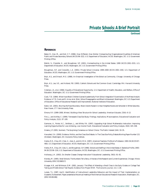**Continued**

#### **REFERENCES**

Baker, D., Han, M., and Keil, C.T. (1996). *How Different, How Similar: Comparing Key Organizational Qualities of American Public and Private Secondary Schools* (NCES 96–322). U.S. Department of Education, NCES. Washington, DC: U.S. Government Printing Office.

Bielick, S., Chandler, K., and Broughman, S.P. (2001). *Homeschooling in the United States: 1999* (NCES 2001–033). U.S. Department of Education, NCES. Washington, DC: U.S. Government Printing Office.

Broughman, S.P., and Colaciello, L.A. (2001). *Private School Universe: 1999–2000* (NCES 2001–330). U.S. Department of Education, NCES. Washington, DC: U.S. Government Printing Office.

Bryk, A.S., and Driscoll, M.E. (1988). *An Empirical Investigation of the School as Community*. Chicago: University of Chicago Press.

Bryk, A.S., Lee, V.E., and Holland, P.B. (1993). *Catholic Schools and the Common Good*. Cambridge, MA: Harvard University Press.

Coleman, J.S., et al. (1966). *Equality of Educational Opportunity*. U.S. Department of Health, Education, and Welfare, Office of Education. Washington, DC: U.S. Government Printing Office.

Cook, T.D. (1984). What Have Black Children Gained Academically From School Integration? Examination of the Meta-Analytic Evidence. In T.D. Cook and D. Armor et al. (Eds.), *School Desegregation and Black Achievement*. Washington, DC: U.S. Department of Education, Office of Educational Research and Improvement, National Institute of Education.

Eaton, S.E. (2001). *Blurring the Race Boundary: Black Adults Raised in Urban Neighborhoods and Schooled in White Suburbia*. New Haven, CT: Yale University Press.

Elmore, R.F. (1999–2000, Winter). Building a New Structure for School Leadership. *American Educator, 23*(4): 6–13.

Finn, J., and Achilles, C. (1999). Tennessee's Class Size Study: Findings, Implications, Misconceptions. *Educational Evaluation and Policy Analysis, 21*(2): 97–109.

Gamoran, A., Porter, A.C., Smithson, J., and White, P.A. (1997). Upgrading High School Mathematics Instruction: Improving Learning Opportunities for Low-Achieving, Low-Income Youth. *Educational Evaluation and Policy Analysis, 19*(4): 325–338.

Greene, J.P. (2001, Summer). The Surprising Consensus on School Choice. *The Public Interest* (144): 19–35.

Hanushek, E.A. (2000). Evidence, Politics, and the Class Size Debate. In *The Class Size Policy Debate*.Working Paper Number 121 (October). Washington, DC: Economic Policy Institute.

Henke, R.R., Choy, S.P., Chen, X., Geis, S., and Alt, M.N. (1997). *America's Teachers: Profile of a Profession: 1993–94* (NCES 97– 460). U.S. Department of Education, NCES. Washington, DC: U.S. Government Printing Office.

Henke, R.R., Choy, S.P., Geis, S., and Broughman, S.P. (1996). *Schools and Staffing in the United States: A Statistical Profile, 1993– 94* (NCES 96–124). U.S. Department of Education, NCES. Washington, DC: U.S. Government Printing Office.

Holloway, J.H. (2002). Do Smaller Classes Change Instruction? *Educational Leadership, 59*(5): 91–92.

Klonsky, M. (1995). *Small Schools: The Numbers Tell a Story. A Review of the Research and Current Experiences*. Chicago: Illinois University. (ERIC ED386517)

Krueger, A.B., and Whitmore, D.M. (2001, January). The Effect of Attending a Small Class in the Early Grades on College Test Taking and Middle School Test Results: Evidence from Project STAR. *The Economic Journal, 111:* 1–28.

Larsen, T.J. (1987, April). *Identification of Instructional Leadership Behaviors and the Impact of Their Implementation on Academic Achievement.* Paper presented at the annual meeting of the American Educational Research Association, Washington, DC. (ERIC ED281286)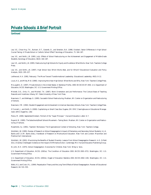**Continued**

Lee, V.E., Chow-Hoy, T.K., Burkam, D.T., Geverdt, D., and Smerdon, B.A. (1998, October). Sector Differences in High School Course Taking: A Private School or Catholic School Effect? *Sociology of Education, 71*: 164–187.

Lee, V.E., and Smith, J.B. (1993, July). Effects of School Restructuring on the Achievement and Engagement of Middle-Grade Students. *Sociology of Education, 66*(3): 164–187.

Lee, V.E., and Smith, J.B. (1995). *Restructuring High Schools for Equity and Excellence: What Works*. New York: Teachers College Press.

Lee, V.E., and Smith, J.B. (1997). High School Size: Which Works Best, and for Whom? *Educational Evaluation and Policy Analysis, 19*(3): 205–227.

Leithwood, K.A. (1992, February). The Move Toward Transformational Leadership. *Educational Leadership, 49*(5): 8–12.

Louis, K.S., and Miles, M.B. (1990). *Improving the Urban High School: What Works and Why*. New York: Teachers College Press.

McLaughlin, D. (1997). *Private Schools in the United States: A Statistical Profile, 1993–94* (NCES 97–459). U.S. Department of Education, NCES. Washington, DC: U.S. Government Printing Office.

Mitchell, D.E., Ortiz, F.I., and Mitchell, T.K. (1987). *Work Orientation and Job Performance: The Cultural Basis of Teaching Rewards and Incentives*. Albany, NY: State University of New York Press.

Newmann, F., and Wehlage, G. (1995). *Successful School Restructuring*. Madison, WI: Center on Organization and Restructuring of Schools.

Newmann, F.M. (1992). *Student Engagement and Achievement in American Secondary Schools*. New York: Teachers College Press.

O'Connell, J., and Smith, S. (2000). *Capitalizing on Small Class Size*. Eugene, OR: ERIC Clearinghouse on Educational Management. (ERIC Digest No. 136)

Pierce, M. (2000, September/October). Portrait of the "Super Principal." *Harvard Education Letter*: 6–7.

Raywid, M. (1995). *The Subschools/Small Schools Movement—Taking Stock*. Madison, WI: Center on Organization and Restructuring of Schools.

Rosenholtz, S.J. (1991). *Teachers' Workplace: The Organizational Context of Schooling*. New York: Teachers College.

Schofield, J.W. (1995). Review of Research on School Desegregation's Impact of Elementary and Secondary School Students. In J.A. Banks and C.A.M. Banks (Eds.), *Handbook of Research on Multicultural Education*. New York and London: Macmillan and Prentice-Hall International.

Schofield, J.W. (2001). Maximizing the Benefits of Student Diversity: Lessons From School Desegregation Research. In G. Orfield (Ed.), *Diversity Challenged: Evidence on the Impact of Affirmative Action*. Cambridge, MA: Harvard Education Publishing Group.

St. John, N.H. (1975). *School Desegregation: Outcomes for Children*. New York: Wiley & Sons.

U.S. Department of Education, NCES. (2001a). *The Condition of Education 2001* (NCES 2001–072). Washington, DC: U.S. Government Printing Office.

U.S. Department of Education, NCES. (2001b). *Digest of Education Statistics 2001* (NCES 2002–130). Washington, DC: U.S. Government Printing Office.

Wells, A.S., and Crain, R.L. (1994). Perpetuation Theory and the Long-Term Effects of School Desegregation. *Review of Educational Research, 64*: 531–555.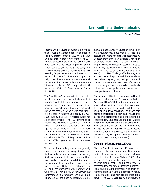*Susan P. Choy*

Today's undergraduate population is different than it was a generation ago. In addition to being 72 percent larger in 1999 than in 1970 (with fall enrollment growing from 7.4 to 12.7 million), proportionately more students are enrolled part time (39 versus 28 percent) and at 2-year colleges (44 versus 31 percent), and women have replaced men as the majority (representing 56 percent of the total instead of 42 percent) (*indicator 5*). There are proportionately more older students on campus as well: 39 percent of all postsecondary students were 25 years or older in 1999, compared with 28 percent in 1970 (U.S. Department of Education 2002b).

The "traditional" undergraduate—characterized here as one who earns a high school diploma, enrolls full time immediately after finishing high school, depends on parents for financial support, and either does not work during the school year or works part time is the exception rather than the rule. In 1999– 2000, just 27 percent of undergraduates met all of these criteria.<sup>1</sup> Thus, 73 percent of all undergraduates were in some way "nontraditional."2 Comparable data for a generation ago are not available, but the fact that much of the change in demographic characteristics and enrollment patterns described above occurred in the 1970s (U.S. Department of Education 2002b) suggests that this is not a recent phenomenon.

While traditional undergraduates are generally able to direct most of their energy toward their studies, older students, parents (especially single parents), and students who work full time have family and work responsibilities competing with school for their time, energy, and financial resources. Difficulties in obtaining child care and class schedules that do not mesh with work schedules are just two of the barriers that nontraditional students may encounter. In addition, some of the older students who did not pursue a postsecondary education when they were younger may have made this decision because they were not prepared academically. Consequently, they may struggle when they enroll later. Nontraditional students who enter postsecondary education seeking a degree are, in fact, less likely than traditional students to attain a degree or remain enrolled after 5 years (Horn 1996). To design effective programs and services to help nontraditional students reach their degree goals, policymakers and postsecondary administrators need information on how many students are affected, the details of their enrollment patterns, and the nature of their persistence problems.

The first part of this discussion of nontraditional students uses the National Postsecondary Student Aid Study (NPSAS:2000) to describe their demographic characteristics, enrollment patterns, how they combine school and work, and their participation in distance education. The second part examines the relationship between nontraditional status and persistence using the Beginning Postsecondary Students Longitudinal Studies (BPS), which followed cohorts of students enrolling in postsecondary education for the first time in 1989–90 and in 1995–96. Unless a specific type of institution is specified, the data refer to students at all types of postsecondary institutions (less-than-2-year, 2-year, and 4-year).

#### **DEFINITION OF NONTRADITIONAL STATUS**

The term "nontraditional student" is not a precise one, although age and part-time status (which often go together) are common defining characteristics (Bean and Metzner 1985). An NCES study examining the relationship between nontraditional status and persistence in postsecondary education identified nontraditional students using information on their enrollment patterns, financial dependency status, family situation, and high school graduation status (Horn 1996). Specifically, in this study, a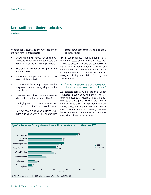**Continued**

nontraditional student is one who has any of the following characteristics:

- Delays enrollment (does not enter postsecondary education in the same calendar year that he or she finished high school);
- Attends part time for at least part of the academic year;
- Works full time (35 hours or more per week) while enrolled;
- Is considered financially independent for purposes of determining eligibility for financial aid: $3$
- Has dependents other than a spouse (usually children, but sometimes others);
- Is a single parent (either not married or married but separated and has dependents); or
- Does not have a high school diploma (completed high school with a GED or other high

school completion certificate or did not finish high school).

Horn (1996) defined "nontraditional" on a continuum based on the number of these characteristics present. Students are considered to be "minimally nontraditional" if they have only one nontraditional characteristic, "moderately nontraditional" if they have two or three, and "highly nontraditional" if they have four or more.

#### ! *Almost three-quarters of undergraduates are in some way "nontraditional."*

As indicated earlier, 73 percent of all undergraduates in 1999–2000 had one or more of these characteristics. Figure 1 shows the percentage of undergraduates with each nontraditional characteristic. In 1999–2000, financial independence was the most common nontraditional characteristic (51 percent), followed by part-time attendance (48 percent), and then delayed enrollment (46 percent).

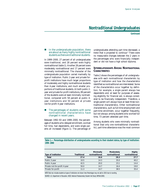**Continued**

#### ! *In the undergraduate population, there are about as many highly nontraditional students as there are traditional students.*

In 1999–2000, 27 percent of all undergraduates were traditional, and 28 percent were highly nontraditional (table 1). Another 28 percent were moderately nontraditional and 17 percent were minimally nontraditional. The character of the undergraduate population varied markedly by type of institution. Public 2-year and private forprofit institutions have much larger proportions of moderately and highly nontraditional students than 4-year institutions, and much smaller proportions of traditional students. At both public 2 year and private for-profit institutions, 89 percent of the students were at least minimally nontraditional, compared with 58 percent at public 4 year institutions and 50 percent at private not-for-profit 4-year institutions.

#### ■ *The percentages of students with some nontraditional characteristics have changed in recent years.*

Between 1992–93 and 1999–2000, the percentages of students who delayed enrollment, worked full time, had dependents, and were single parents all increased (figure 1). The percentage of undergraduates attending part time decreased, a trend that is projected to continue.<sup>4</sup> There were no measurable changes between the 2 years in the percentages who were financially independent or did not have a high school diploma.

### **INTERRELATIONSHIPS AMONG NONTRADITIONAL CHARACTERISTICS**

Table 2 shows the percentages of all undergraduates with each nontraditional characteristic by type of institution and how the characteristics identified as nontraditional are interrelated. Some of the characteristics occur together by definition; for example, a single parent always has dependents and, at least for purposes of assessing eligibility for financial aid, is always considered to be financially independent. Therefore, a single parent will always have at least three nontraditional characteristics. Other nontraditional characteristics, such as full-time employment and part-time enrollment, occur together frequently, but not always: among students who worked full time, 73 percent attended part time.

Among students who were minimally nontraditional (had only one nontraditional characteristic), part-time attendance was the most common

**Table 1.—Percentage distribution of undergraduates according to their student status, by type of institution: 1999–2000**

| Type of institution           | <b>Traditional</b> | Minimally<br>nontraditional | Moderately<br>nontraditional | Highly<br>nontraditional |
|-------------------------------|--------------------|-----------------------------|------------------------------|--------------------------|
| <b>Total</b>                  | 27.4               | 16.6                        | 28.3                         | 27.7                     |
| Public 2-year                 | 10.5               | 14.3                        | 35.0                         | 40.2                     |
| Public 4-year                 | 42.5               | 20.0                        | 23.1                         | 14.4                     |
| Private not-for-profit 4-year | 50.0               | 14.7                        | 16.4                         | 19.0                     |
| Private for-profit            | 11.3               | 14.7                        | 38.5                         | 35.4                     |

NOTE: Total row includes students at types of institutions not shown here. Percentages may not add to 100.0 due to rounding. SOURCE: U.S. Department of Education, NCES. National Postsecondary Student Aid Study (NPSAS:2000).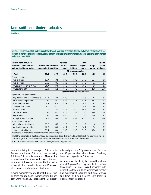**Continued**

**Table 2.—Percentage of all undergraduates with each nontraditional characteristic, by type of institution, and percentage of nontraditional undergraduates with each nontraditional characteristic, by nontraditional characteristic and status: 1999–2000**

| Type of institution, non-                                                                |                             |      | Delayed |                               | Had          |                | No high  |
|------------------------------------------------------------------------------------------|-----------------------------|------|---------|-------------------------------|--------------|----------------|----------|
| traditional characteristic,                                                              | <b>Financially Attended</b> |      | enroll- | Worked                        | depen-       | Single         | school   |
| and nontraditional status                                                                | independent part time       |      | ment    | full time                     | dents        | parent         | diploma* |
|                                                                                          |                             |      |         | All undergraduates            |              |                |          |
| Total                                                                                    | 50.9                        | 47.9 | 45.5    | 39.3                          | 26.9         | 13.3           | 6.5      |
| Type of institution                                                                      |                             |      |         |                               |              |                |          |
| Public 2-year                                                                            | 63.7                        | 69.5 | 58.7    | 53.8                          | 34.5         | 16.4           | 9.8      |
| Public 4-year                                                                            | 37.6                        | 33.3 | 31.5    | 25.5                          | 17.6         | 9.2            | 2.4      |
| Private not-for-profit 4-year                                                            | 36.7                        | 27.6 | 34.0    | 28.5                          | 18.8         | 8.6            | 3.2      |
| Private for-profit                                                                       | 72.9                        | 21.5 | 67.8    | 40.8                          | 44.3         | 26.6           | 15.6     |
|                                                                                          |                             |      |         | Nontraditional undergraduates |              |                |          |
| Nontraditional characteristic                                                            |                             |      |         |                               |              |                |          |
| Any nontraditional characteristic                                                        | 67.8                        | 63.8 | 60.9    | 54.0                          | 35.8         | 17.7           | 8.7      |
| Financially independent                                                                  | 100                         | 66.2 | 66.4    | 57.3                          | 52.8         | 26.1           | 10.1     |
| Attended part time                                                                       | 70.3                        | 100  | 58.8    | 62.0                          | 36.2         | 15.7           | 8.0      |
| Delayed enrollment                                                                       | 74.1                        | 61.7 | 100     | 52.0                          | 39.7         | 19.6           | 9.2      |
| Worked full time                                                                         | 72.0                        | 73.3 | 48.4    | 100                           | 40.7         | 16.6           | 7.1      |
| Had dependents                                                                           | 100                         | 64.5 | 67.6    | 58.2                          | 100          | 49.4           | 11.6     |
| Single parent                                                                            | 100                         | 56.6 | 68.0    | 55.4                          | 100          | 100            | 14.1     |
| No high school diploma                                                                   | 78.7                        | 58.6 | 76.1    | 46.2                          | 47.6         | 28.7           | 100      |
| Nontraditional status                                                                    |                             |      |         |                               |              |                |          |
| Minimally nontraditional                                                                 | 15.2                        | 36.2 | 22.8    | 22.8                          | $\mathbf{0}$ | $\overline{0}$ | 2.2      |
| Moderately nontraditional                                                                | 68.0                        | 63.8 | 42.2    | 51.5                          | 18.7         | 3.8            | 5.2      |
| Highly nontraditional                                                                    | 99.4                        | 80.4 | 76.3    | 75.0                          | 79.6         | 38.6           | 15.1     |
| *Student did not finish high school or completed with a GED or certificate of completion |                             |      |         |                               |              |                |          |

\*Student did not finish high school or completed with a GED or certificate of completion.

NOTE: Total row and nontraditional characteristic and status rows include students at types of institutions not shown here. Students may appear in more than one column. Percentages in the "minimally nontraditional" row (only one nontraditional characteristic) do not add to 100.0 due to rounding.

SOURCE: U.S. Department of Education, NCES. National Postsecondary Student Aid Study (NPSAS:2000).

reason for being in this category (36 percent). Delayed enrollment (23 percent) and working full time (23 percent) were next. Most of the minimally nontraditional students were 24 years or younger (otherwise they would be financially independent, a characteristic of only 15 percent of minimally nontraditional students).

Among moderately nontraditional students (two or three nontraditional characteristics), 68 percent were financially independent, 64 percent

attended part time, 52 percent worked full time, and 42 percent delayed enrollment. Relatively fewer had dependents (19 percent).

A large majority of highly nontraditional students (80 percent) had dependents. In addition, three-quarters or more were financially independent (as they would be automatically if they had dependents), attended part time, worked full time, and had delayed enrollment in postsecondary education.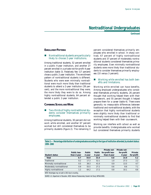**Continued**

#### **ENROLLMENT PATTERNS**

#### ■ *Nontraditional students are particularly likely to choose 2-year institutions.*

Among traditional students, 52 percent enrolled in a public 4-year institution, and another 27 percent enrolled in a private not-for-profit 4-year institution (table 3). Relatively few (17 percent) chose a public 2-year institution. The enrollment pattern of nontraditional students is different. Students who were even minimally nontraditional were much more likely than traditional students to attend a 2-year institution (39 percent), and the more nontraditional they were, the more likely they were to do so. Among highly nontraditional students, 64 percent attended a public 2-year institution.

#### **COMBINING SCHOOLAND WORK**

#### ■ *Two-thirds of highly nontraditional students consider themselves primarily employees.*

Among traditional students, 30 percent did not work while enrolled, and another 67 percent worked but still considered themselves to be primarily students (figure 2). The remaining 3 percent considered themselves primarily employees who enrolled in school. In sharp contrast, 67 percent of highly nontraditional students and 37 percent of moderately nontraditional students considered themselves primarily employees. Even minimally nontraditional students were more likely than traditional students to consider themselves primarily employees (10 versus 3 percent).

#### ! *Working while enrolled has both benefits and limitations.*

Working while enrolled can have benefits. Among employed undergraduates who considered themselves primarily students, 26 percent thought that working helped them with their coursework, and 55 percent thought it helped prepare them for a career (table 4). There were generally no measurable differences between traditional and nontraditional students, with the exception that highly nontraditional students were slightly more likely than traditional or minimally nontraditional students to find that working helped them with their coursework.

Working can interfere with school as well as provide benefits. Undergraduates who worked but considered themselves primarily students

**Table 3.—Percentage distribution of undergraduates according to the type of institution attended, by student status: 1999–2000**

|                           |                     |               |        | Private not-     | Private not- |            |
|---------------------------|---------------------|---------------|--------|------------------|--------------|------------|
|                           | <b>Public less-</b> | <b>Public</b> | Public | for-profit less- | for-profit   | Private    |
| Student status            | than-2-year         | 2-year        | 4-year | than-4-year      | 4-year       | for-profit |
| <b>Total</b>              | 0.7                 | 44.9          | 33.4   | 0.8              | 14.9         | 5.2        |
| Traditional               | 0.2                 | 17.3          | 52.1   | 1.0              | 27.3         | 2.2        |
| Minimally nontraditional  | 0.5                 | 39.3          | 41.0   | 0.9              | 13.5         | 4.7        |
| Moderately nontraditional | 0.9                 | 55.5          | 27.2   | 0.6              | 8.6          | 7.1        |
| Highly nontraditional     | 1.2                 | 64.2          | 17.2   | 0.8              | 10.1         | 6.6        |

NOTE: Percentages may not add to 100.0 due to rounding.

SOURCE: U.S. Department of Education, NCES. National Postsecondary Student Aid Study (NPSAS:2000)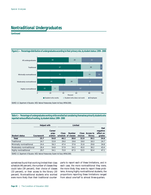**Continued**



SOURCE: U.S. Department of Education, NCES. National Postsecondary Student Aid Study (NPSAS:2000).

**Table 4.—Percentage of undergraduates working while enrolled but considering themselves primarily students who reported various effects of working, by student status: 1999–2000**

|                           | <b>Helped with</b> |                            |       | Limited                              |                  |                      |                                        |  |
|---------------------------|--------------------|----------------------------|-------|--------------------------------------|------------------|----------------------|----------------------------------------|--|
| Student status            | Coursework         | Career<br>prep-<br>aration | Class | <b>Number</b><br>schedule of classes | Class<br>choices | Access to<br>library | Had<br>negative<br>effect on<br>grades |  |
| Total                     | 25.7               | 54.8                       | 46.1  | 38.6                                 | 32.9             | 30.1                 | 34.6                                   |  |
| Traditional               | 24.7               | 53.9                       | 29.0  | 19.6                                 | 19.0             | 18.3                 | 24.7                                   |  |
| Minimally nontraditional  | 24.4               | 56.3                       | 47.4  | 37.6                                 | 31.8             | 29.8                 | 34.8                                   |  |
| Moderately nontraditional | 26.4               | 54.8                       | 57.9  | 54.2                                 | 45.0             | 38.2                 | 43.4                                   |  |
| Highly nontraditional     | 29.7               | 54.1                       | 72.0  | 67.5                                 | 53.5             | 50.4                 | 47.1                                   |  |
|                           |                    |                            |       |                                      |                  |                      |                                        |  |

SOURCE: U.S. Department of Education, NCES. National Postsecondary Student Aid Study (NPSAS:2000).

sometimes found that working limited their class schedule (46 percent), the number of classes they could take (39 percent), their choice of classes (33 percent), or their access to the library (30 percent). Nontraditional students who worked were more likely than their traditional counterparts to report each of these limitations, and in each case, the more nontraditional they were, the more likely they were to report these problems. Among highly nontraditional students, the proportions reporting these limitations ranged from about one-half to almost three-quarters.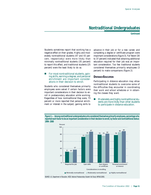**Continued**

Students sometimes report that working has a negative effect on their grades. Highly and moderately nontraditional students (47 and 43 percent, respectively) were more likely than minimally nontraditional students (35 percent) to report this effect, and traditional students (25 percent) were the least likely to do so.

#### ■ *For most nontraditional students, gaining skills, earning a degree, and personal enrichment are important considerations in their decision to enroll.*

Students who considered themselves primarily employees were asked if certain factors were important considerations in their decision to enroll in postsecondary education while working. Regardless of how nontraditional they were, 73 percent or more reported that personal enrichment or interest in the subject, gaining skills to advance in their job or for a new career, and completing a degree or certificate program were important considerations (figure 3). Far fewer (30 to 37 percent) indicated that obtaining additional education required for their job was an important consideration. Too few traditional students considered themselves primarily employees (3 percent) to make comparisons (figure 2).

### **DISTANCE EDUCATION**

Participating in distance education may allow nontraditional students to overcome some of the difficulties they encounter in coordinating their work and school schedules or in obtaining the classes they want.

#### ! *Moderately and highly nontraditional students are more likely than other students to participate in distance education.*

**Figure 3.—Among nontraditional undergraduates who considered themselves primarily employees, percentage who reported each factor to be an important consideration in their decision to enroll, by factor and nontraditional status: 1999–2000**



SOURCE: U.S. Department of Education, NCES. National Postsecondary Student Aid Study (NPSAS:2000).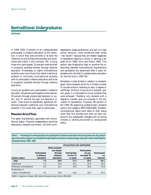**Continued**

In 1999–2000, 8 percent of all undergraduates participated in distance education at the institution in which they were enrolled or at both the institution at which they were enrolled and somewhere else (table 5 and *indicator 38*). Among those who participated, 29 percent were enrolled in programs available entirely through distance education. Moderately or highly nontraditional students were more likely than either traditional students or minimally nontraditional students both to participate in distance education and to be in programs available entirely through distance education.

Among all students who participated in distance education, 60 percent participated via the Internet, 39 percent through prerecorded television or audio, and 37 percent through live television or audio. There were no statistically significant differences between traditional and nontraditional students in the mode they used to participate.

### **PERSISTENCE AFTER 3 YEARS**

The seven characteristics associated with nontraditional status—financial independence, part-time attendance, delayed enrollment, full-time work, dependents, single parenthood, and lack of a high school diploma—have sometimes been called "risk factors" because they are related negatively to persistence (staying in school or earning a degree) (Horn 1996; Horn and Premo 1995). This section uses longitudinal data to examine the relationship between nontraditional characteristics and persistence and attainment after 3 years for students who enrolled in postsecondary education for the first time in 1995–96.5

Persistence is best studied in relation to students' goals. Some students enroll for a limited number of courses without intending to earn a degree or certificate. Without knowing the students' specific goals, it is impossible to know whether they were achieved. Therefore, only students with a degree or transfer goal are included in this discussion of persistence. However, 88 percent of the 1995–96 beginning postsecondary students were in this category (BPS:1996/1998). Students' nontraditional status here refers to their status when they first enrolled and does not take into account any subsequent changes such as having children or shifting enrollment or employment status.

**Table 5.—Percentage of undergraduates who participated in distance education and among those who did, percentage whose entire program was available through distance education and percentage using each mode of participation, by student status: 1999–2000**

|                                                                                                    |                             | Among those who participated                        |                             |                                         |                     |  |  |  |
|----------------------------------------------------------------------------------------------------|-----------------------------|-----------------------------------------------------|-----------------------------|-----------------------------------------|---------------------|--|--|--|
|                                                                                                    | Participated<br>in distance | Entire program<br>was taught<br>through<br>distance | Participated<br>via live TV | Participated<br>via pre-<br>recorded TV | Participated<br>via |  |  |  |
| Student status                                                                                     | education                   | education                                           | or audio                    | or audio                                | Internet            |  |  |  |
| Total                                                                                              | 7.6                         | 29.0                                                | 37.3                        | 39.3                                    | 60.1                |  |  |  |
| Traditional                                                                                        | 5.3                         | 20.6                                                | 39.5                        | 35.4                                    | 60.4                |  |  |  |
| Minimally nontraditional                                                                           | 6.2                         | 22.1                                                | 38.5                        | 36.8                                    | 57.8                |  |  |  |
| Moderately or                                                                                      |                             |                                                     |                             |                                         |                     |  |  |  |
| highly nontraditional                                                                              | 9.3                         | 32.8                                                | 36.4                        | 40.9                                    | 60.5                |  |  |  |
| SOURCE: U.S. Department of Education, NCES. National Postsecondary Student Aid Study (NPSAS:2000). |                             |                                                     |                             |                                         |                     |  |  |  |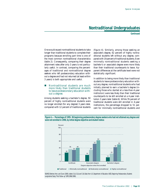**Continued**

One would expect nontraditional students to take longer than traditional students to complete their programs because enrolling part time is one of the most common nontraditional characteristics (table 2). Consequently, comparing their degree attainment rates after only 3 years is not particularly useful. In contrast, comparing the percentages of traditional and nontraditional degree seekers who left postsecondary education without a degree and had not returned (at least within 3 years) is both appropriate and useful.

#### ■ *Nontraditional students are much more likely than traditional students to leave postsecondary education without a degree.*

Among students seeking a bachelor's degree, 50 percent of highly nontraditional students were no longer enrolled (for any degree) 3 years later, compared with 12 percent of traditional students (figure 4). Similarly, among those seeking an associate's degree, 62 percent of highly nontraditional students left without any degree, compared with 19 percent of traditional students. Even minimally nontraditional students seeking a bachelor's or associate's degree were more likely than their traditional counterparts to leave. Apparent differences at the certificate level were not statistically significant.

In addition to being more likely than traditional students to leave postsecondary education without any degree, nontraditional students who had initially planned to earn a bachelor's degree (including those who started at a less-than-4-year institution) were less likely than their traditional counterparts to be still enrolled at a 4-year institution 3 years later (table 6). While 76 percent of traditional students were still enrolled in 4-year institutions, the percentage dropped to 51 percent for minimally nontraditional students and





SOURCE: Berkner, Horn, and Clune (2000), tables 5.1d, 5.2d, and 5.3d. Data from U.S. Department of Education, NCES. Beginning Postsecondary Students Longitudinal Study, "First Follow-up" (BPS:1996/1998).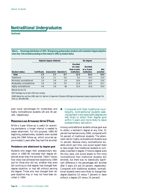**Continued**

**Table 6.—Percentage distribution of 1995–96 beginning postsecondary students with a bachelor's degree objective when they first enrolled according to their status in 1998, by student status**

|                           | Highest degree attained |                        |        |                                       |                         |            |
|---------------------------|-------------------------|------------------------|--------|---------------------------------------|-------------------------|------------|
|                           |                         |                        |        | Enrolled<br>at a less-<br>than-4-year | Enrolled<br>at a 4-year | <b>Not</b> |
| Student status            | Certificate             | Associate's Bachelor's |        | institution                           | institution             | enrolled   |
| Total                     | 1.5                     | 2.7                    | 0.7    | 12.5                                  | 63.2                    | 19.4       |
| Traditional               | 0.8                     | 2.1                    | 0.6    | 8.2                                   | 76.4                    | 12.0       |
| Minimally nontraditional  | 1.9                     | 3.6                    | 1.8    | 19.6                                  | 50.5                    | 22.6       |
| Moderately nontraditional | 3.6                     | 3.6                    | 0.5    | 21.8                                  | 28.3                    | 42.1       |
| Highly nontraditional     | 4.8                     | 3.9                    | $(\#)$ | 15.4                                  | 25.6                    | 50.4       |

#Estimate less than 0.05.

NOTE: Percentages may not add to 100.0 due to rounding.

SOURCE: Berkner, Horn, and Clune (2000), table 5.3d. Data from U.S. Department of Education, NCES. Beginning Postsecondary Students Longitudinal Study, "First Follow-up" (BPS:1996/1998).

even lower percentages for moderately and highly nontraditional students (28 and 26 percent, respectively).

### **PERSISTENCE AND ATTAINMENT AFTER 5 YEARS**

While a 3-year follow-up is useful for examining persistence, a longer interval is needed to assess attainment. For this purpose, 1989–90 beginning postsecondary students were studied using the 1994 follow-up, which occurred approximately 5 years after they had first enrolled.

#### **Persistence and attainment by degree goal**

Students who began their postsecondary education in 1989–90 indicated their degree objectives when they first enrolled. Table 7 shows how many had achieved that objective by 1994 and for those who did not, whether they were still working on that degree, had changed their degree objective, or had left without earning the degree. Those who had changed their degree objective may or may not have been enrolled in 1994.

! *Compared with their traditional counterparts, nontraditional students seeking bachelor's and associate's degrees are less likely to attain their degree goal within 5 years and more likely to leave postsecondary education.*

Among nontraditional students whose goal was to obtain a bachelor's degree at any time, 31 percent had earned one by 1994, compared with 54 percent of traditional students. The attainment rate for highly nontraditional students was 11 percent. Because many nontraditional students enroll part time, one would expect them to take longer than traditional students to complete a bachelor's degree. If time-to-degree were the only issue, one would expect to find more nontraditional than traditional students still enrolled, but there was no statistically significant difference in the percentages still enrolled after 5 years (23 and 20 percent, respectively). Compared with traditional students, nontraditional students were more likely to change their degree objective (13 versus 7 percent) or leave without a degree (33 versus 19 percent).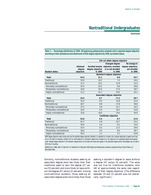**Continued**

**Table 7.—Percentage distribution of 1989–90 beginning postsecondary students with a reported degree objective according to their persistence and attainment of that degree objective by 1994, by student status**

|                           |           | Did not attain degree objective |                                     |                   |  |  |  |
|---------------------------|-----------|---------------------------------|-------------------------------------|-------------------|--|--|--|
|                           |           |                                 | Changed degree                      | No change in      |  |  |  |
|                           | Attained  |                                 | Enrolled toward objective, enrolled | degree objective, |  |  |  |
|                           | degree    | degree objective                | in or not enrolled                  | not enrolled      |  |  |  |
| <b>Student status</b>     | objective | in 1994                         | in 1994                             | in 1994           |  |  |  |
|                           |           |                                 | Bachelor's degree objective         |                   |  |  |  |
| Total                     | 44.5      | 21.2                            | 9.6                                 | 24.7              |  |  |  |
| Traditional               | 53.9      | 19.7                            | 7.2                                 | 19.2              |  |  |  |
| Nontraditional            | 31.3      | 23.2                            | 12.9                                | 32.5              |  |  |  |
| Minimally nontraditional  | 42.4      | 22.5                            | 8.6                                 | 26.6              |  |  |  |
| Moderately nontraditional | 16.9      | 25.4                            | 17.0                                | 40.7              |  |  |  |
| Highly nontraditional     | 11.2      | 21.7                            | 25.0                                | 42.1              |  |  |  |
|                           |           | Associate's degree objective    |                                     |                   |  |  |  |
| Total                     | 35.5      | 8.7                             | 17.2                                | 38.7              |  |  |  |
| Traditional               | 53.4      | 8.4                             | 15.8                                | 22.4              |  |  |  |
| Nontraditional            | 26.7      | 8.8                             | 17.8                                | 46.6              |  |  |  |
| Minimally nontraditional  | 37.2      | 5.8                             | 21.7                                | 35.3              |  |  |  |
| Moderately nontraditional | 24.5      | 6.4                             | 16.5                                | 52.6              |  |  |  |
| Highly nontraditional     | 15.6      | 16.0                            | 14.4                                | 54.0              |  |  |  |
|                           |           |                                 | Certificate objective               |                   |  |  |  |
| Total                     | 55.8      | 4.5                             | 8.7                                 | 31.0              |  |  |  |
| Traditional               | 61.3      | 4.8                             | 10.7                                | 23.2              |  |  |  |
| Nontraditional            | 54.0      | 4.4                             | 8.1                                 | 33.5              |  |  |  |
| Minimally nontraditional  | 55.4      | 6.3                             | 11.3                                | 26.9              |  |  |  |
| Moderately nontraditional | 56.6      | 6.4                             | 8.4                                 | 28.7              |  |  |  |
| Highly nontraditional     | 50.3      | 1.1                             | 5.7                                 | 42.9              |  |  |  |
|                           |           |                                 |                                     |                   |  |  |  |

NOTE: Degree objective means having ever had the specified degree objective. Therefore, it is possible for a student who changed objectives to appear more than once in the table. For example, a student with an initial objective of a bachelor's degree who changed his or her objective to an associate's degree would appear under "changed degree objective" in the bachelor's degree section of the table and would also appear in the associate's degree section. Percentages may not add to 100.0 due to rounding.

SOURCE: Horn (1996), table 13. Data from U.S. Department of Education, NCES. Beginning Postsecondary Students Longitudinal Study, "Second Follow-up" (BPS:1990/1994).

Similarly, nontraditional students seeking an associate's degree were less likely than their traditional peers to earn the degree (27 versus 53 percent) and more likely to leave without the degree (47 versus 22 percent). Among nontraditional students, those seeking an associate's degree were more likely than those

seeking a bachelor's degree to leave without a degree (47 versus 33 percent). The same was not true for traditional students, who left at approximately the same rate regardless of their degree objective. (The difference between 19 and 22 percent was not statistically significant.)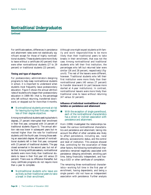**Continued**

For certificate seekers, differences in persistence and attainment rates were not statistically significant except for those of highly nontraditional students. These students were more likely to leave without a certificate (43 percent) than were other nontraditional students (27 to 29 percent) or traditional students (23 percent).

#### **Timing and type of departure**

For postsecondary administrators designing programs to help keep nontraditional students in school, it is important to understand when students most frequently leave postsecondary education. Figure 5 shows the annual attrition rates of students who began their postsecondary education in 1989–90—that is, the percentage who left without returning, transferred downward, or stopped out for more than 4 months.

#### ! *Nontraditional students are most at risk for leaving during their first year, regardless of their degree objective.*

Among nontraditional students seeking bachelor's degrees, 27 percent interrupted their enrollment in their first year, compared with 14 percent of traditional students (figure 5). The annual attrition rate was lower in subsequent years but remained higher than the rate for traditional students until the fourth year. Among those seeking an associate's degree, 46 percent of nontraditional students left in their first year, compared with 23 percent of traditional students. The gap closed somewhat in the second year, but not after that. Among certificate seekers, nontraditional students were more likely than traditional students to leave in their first year (43 versus 23 percent). There was no difference thereafter, but many certificate programs do not require more than a year to complete.

! *Nontraditional students who leave are as likely as their traditional peers to take a break in their enrollment.*

Although one might expect students with family and work responsibilities to be more likely than their traditional peers to take breaks in their enrollment, that was not the case. Among nontraditional and traditional students who left their first institution, the percentages who left but returned later were similar (26 and 28 percent, respectively) (figure 6). The rest of the leavers were different, however. Traditional students who left their first institution were more likely than their nontraditional peers (40 versus 27 percent) to transfer downward (in part because more started at 4-year institutions). In contrast, nontraditional leavers were more likely than traditional ones to leave without returning (47 versus 32 percent).

**Influence of individual nontraditional characteristics on persistence and attainment**

■ *With the exception of single parenthood, each of the nontraditional characteristics has a direct or indirect association with persistence and attainment.*

Horn (1996) investigated the relationships between the various nontraditional characteristics and persistence and attainment, taking into account the effect of other variables also likely to affect persistence, including sex, race/ ethnicity, socioeconomic status, and the control and level of institution. This analysis showed that, controlling for the covariation of these other factors, the following nontraditional characteristics remained negatively associated with persistence: delaying enrollment, enrolling part time, being financially independent, and having a GED or other certificate of completion.

The remaining three nontraditional characteristics—working full time in the first year of enrollment, having dependents, and being a single parent—did not have an independent association with persistence. Further analysis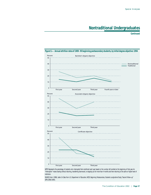**Continued**



NOTE: Represents the percentage of students who interrupted their enrollment each year based on the number still enrolled at the beginning of that year. An "interruption" means leaving without returning, transferring downward, or stopping out for more than 4 months and then returning to the same or higher level of institution.

SOURCE: Horn (1996), table 14. Data from U.S. Department of Education, NCES. Beginning Postsecondary Students Longitudinal Study, "Second Follow-up" (BPS:1990/1994).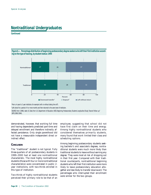**Continued**



**Figure 6.—Percentage distribution of beginning postsecondary degree seekers who left their first institution according to the type of leaving, by student status: 1994**

1 From a 4-year to 2-year institution, for example (with or without taking time off).

2 Left school for a period of 4 or more months and then returned to the same level of institution.

SOURCE: Horn (1996), table 15. Data from U.S. Department of Education, NCES. Beginning Postsecondary Students Longitudinal Study, "Second Follow-up" (BPS:1990/1994).

demonstrated, however, that working full time and having dependents predicted part-time and delayed enrollment and therefore indirectly affected persistence. Only single parenthood did not have a measurable independent direct or indirect effect.

### **CONCLUSION**

The "traditional" student is not typical. Fully three-quarters of all postsecondary students in 1999–2000 had at least one nontraditional characteristic. The most highly nontraditional students (those with four or more nontraditional characteristics) were concentrated in public 2 year institutions, with two-thirds enrolled in this type of institution.

Two-thirds of highly nontraditional students perceived their primary role to be that of an employee, suggesting that school did not have first claim on their time and energy. Among highly nontraditional students who considered themselves primarily students, many found that work limited their class and scheduling options.

Among beginning postsecondary students seeking bachelor's and associate's degrees, nontraditional students were much more likely than traditional students to leave without earning any degree. They were most at risk of dropping out in their first year. Compared with their traditional counterparts, nontraditional beginning students who left their first institution were more likely to leave postsecondary education altogether and less likely to transfer downward. The percentages who interrupted their enrollment were similar for the two groups.